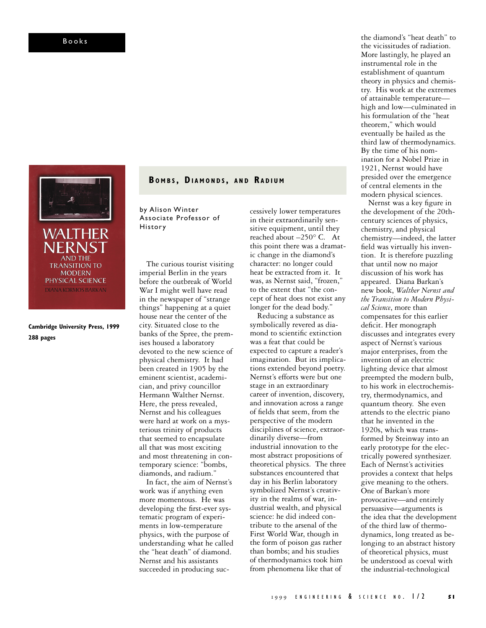

**Cambridge University Press, 1999 288 pages**

**B O M B S , DI A M O N D S , A N D RA D I U M**

by Alison Winter Associate Professor of History

The curious tourist visiting imperial Berlin in the years before the outbreak of World War I might well have read in the newspaper of "strange things" happening at a quiet house near the center of the city. Situated close to the banks of the Spree, the premises housed a laboratory devoted to the new science of physical chemistry. It had been created in 1905 by the eminent scientist, academician, and privy councillor Hermann Walther Nernst. Here, the press revealed, Nernst and his colleagues were hard at work on a mysterious trinity of products that seemed to encapsulate all that was most exciting and most threatening in contemporary science: "bombs, diamonds, and radium."

In fact, the aim of Nernst's work was if anything even more momentous. He was developing the first-ever systematic program of experiments in low-temperature physics, with the purpose of understanding what he called the "heat death" of diamond. Nernst and his assistants succeeded in producing successively lower temperatures in their extraordinarily sensitive equipment, until they reached about –250° C. At this point there was a dramatic change in the diamond's character: no longer could heat be extracted from it. It was, as Nernst said, "frozen," to the extent that "the concept of heat does not exist any longer for the dead body."

Reducing a substance as symbolically revered as diamond to scientific extinction was a feat that could be expected to capture a reader's imagination. But its implications extended beyond poetry. Nernst's efforts were but one stage in an extraordinary career of invention, discovery, and innovation across a range of fields that seem, from the perspective of the modern disciplines of science, extraordinarily diverse—from industrial innovation to the most abstract propositions of theoretical physics. The three substances encountered that day in his Berlin laboratory symbolized Nernst's creativity in the realms of war, industrial wealth, and physical science: he did indeed contribute to the arsenal of the First World War, though in the form of poison gas rather than bombs; and his studies of thermodynamics took him from phenomena like that of

the diamond's "heat death" to the vicissitudes of radiation. More lastingly, he played an instrumental role in the establishment of quantum theory in physics and chemistry. His work at the extremes of attainable temperature high and low—culminated in his formulation of the "heat theorem," which would eventually be hailed as the third law of thermodynamics. By the time of his nomination for a Nobel Prize in 1921, Nernst would have presided over the emergence of central elements in the modern physical sciences.

Nernst was a key figure in the development of the 20thcentury sciences of physics, chemistry, and physical chemistry—indeed, the latter field was virtually his invention. It is therefore puzzling that until now no major discussion of his work has appeared. Diana Barkan's new book, *Walther Nernst and the Transition to Modern Physical Science*, more than compensates for this earlier deficit. Her monograph discusses and integrates every aspect of Nernst's various major enterprises, from the invention of an electric lighting device that almost preempted the modern bulb, to his work in electrochemistry, thermodynamics, and quantum theory. She even attends to the electric piano that he invented in the 1920s, which was transformed by Steinway into an early prototype for the electrically powered synthesizer. Each of Nernst's activities provides a context that helps give meaning to the others. One of Barkan's more provocative—and entirely persuasive—arguments is the idea that the development of the third law of thermodynamics, long treated as belonging to an abstract history of theoretical physics, must be understood as coeval with the industrial-technological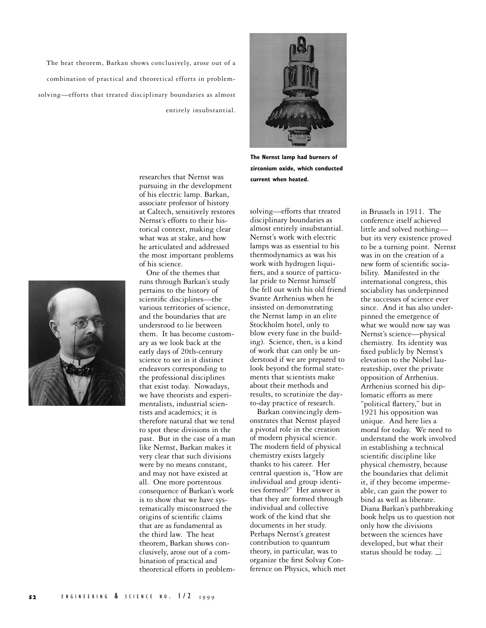The heat theorem, Barkan shows conclusively, arose out of a combination of practical and theoretical efforts in problemsolving—efforts that treated disciplinary boundaries as almost entirely insubstantial.



**The Nernst lamp had burners of zirconium oxide, which conducted current when heated.**

pursuing in the development of his electric lamp. Barkan, associate professor of history at Caltech, sensitively restores Nernst's efforts to their historical context, making clear what was at stake, and how he articulated and addressed the most important problems of his science.

researches that Nernst was

One of the themes that runs through Barkan's study pertains to the history of scientific disciplines—the various territories of science, and the boundaries that are understood to lie between them. It has become customary as we look back at the early days of 20th-century science to see in it distinct endeavors corresponding to the professional disciplines that exist today. Nowadays, we have theorists and experimentalists, industrial scientists and academics; it is therefore natural that we tend to spot these divisions in the past. But in the case of a man like Nernst, Barkan makes it very clear that such divisions were by no means constant, and may not have existed at all. One more portentous consequence of Barkan's work is to show that we have systematically misconstrued the origins of scientific claims that are as fundamental as the third law. The heat theorem, Barkan shows conclusively, arose out of a combination of practical and theoretical efforts in problemsolving—efforts that treated disciplinary boundaries as almost entirely insubstantial. Nernst's work with electric lamps was as essential to his thermodynamics as was his work with hydrogen liquifiers, and a source of particular pride to Nernst himself (he fell out with his old friend Svante Arrhenius when he insisted on demonstrating the Nernst lamp in an elite Stockholm hotel, only to blow every fuse in the building). Science, then, is a kind of work that can only be understood if we are prepared to look beyond the formal statements that scientists make about their methods and results, to scrutinize the dayto-day practice of research.

Barkan convincingly demonstrates that Nernst played a pivotal role in the creation of modern physical science. The modern field of physical chemistry exists largely thanks to his career. Her central question is, "How are individual and group identities formed?" Her answer is that they are formed through individual and collective work of the kind that she documents in her study. Perhaps Nernst's greatest contribution to quantum theory, in particular, was to organize the first Solvay Conference on Physics, which met

in Brussels in 1911. The conference itself achieved little and solved nothing but its very existence proved to be a turning point. Nernst was in on the creation of a new form of scientific sociability. Manifested in the international congress, this sociability has underpinned the successes of science ever since. And it has also underpinned the emergence of what we would now say was Nernst's science—physical chemistry. Its identity was fixed publicly by Nernst's elevation to the Nobel laureateship, over the private opposition of Arrhenius. Arrhenius scorned his diplomatic efforts as mere "political flattery," but in 1921 his opposition was unique. And here lies a moral for today. We need to understand the work involved in establishing a technical scientific discipline like physical chemistry, because the boundaries that delimit it, if they become impermeable, can gain the power to bind as well as liberate. Diana Barkan's pathbreaking book helps us to question not only how the divisions between the sciences have developed, but what their status should be today.  $\Box$ 

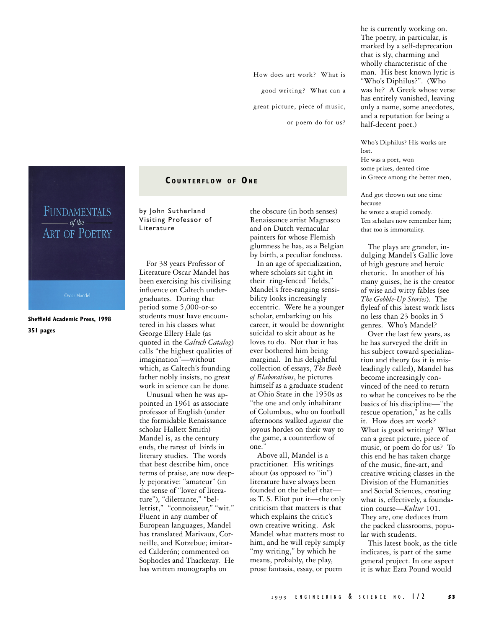How does art work? What is good writing? What can a great picture, piece of music, or poem do for us? he is currently working on. The poetry, in particular, is marked by a self-deprecation that is sly, charming and wholly characteristic of the man. His best known lyric is "Who's Diphilus?". (Who was he? A Greek whose verse has entirely vanished, leaving only a name, some anecdotes, and a reputation for being a half-decent poet.)

Who's Diphilus? His works are lost. He was a poet, won some prizes, dented time in Greece among the better men,

And got thrown out one time because he wrote a stupid comedy. Ten scholars now remember him; that too is immortality.

The plays are grander, indulging Mandel's Gallic love of high gesture and heroic rhetoric. In another of his many guises, he is the creator of wise and witty fables (see *The Gobble-Up Stories*). The flyleaf of this latest work lists no less than 23 books in 5 genres. Who's Mandel?

Over the last few years, as he has surveyed the drift in his subject toward specialization and theory (as it is misleadingly called), Mandel has become increasingly convinced of the need to return to what he conceives to be the basics of his discipline—"the rescue operation," as he calls it. How does art work? What is good writing? What can a great picture, piece of music, or poem do for us? To this end he has taken charge of the music, fine-art, and creative writing classes in the Division of the Humanities and Social Sciences, creating what is, effectively, a foundation course—*Kultur* 101. They are, one deduces from the packed classrooms, popular with students.

This latest book, as the title indicates, is part of the same general project. In one aspect it is what Ezra Pound would

FUNDAMENTALS  $-$  of the  $-$ **ART OF POETRY** 

Oscar Mandel

**Sheffield Academic Press, 1998 351 pages**

## **C O U N T E R F L O W O F ON E**

by John Sutherland Visiting Professor of Literature

For 38 years Professor of Literature Oscar Mandel has been exercising his civilising influence on Caltech undergraduates. During that period some 5,000-or-so students must have encountered in his classes what George Ellery Hale (as quoted in the *Caltech Catalog*) calls "the highest qualities of imagination"—without which, as Caltech's founding father nobly insists, no great work in science can be done.

Unusual when he was appointed in 1961 as associate professor of English (under the formidable Renaissance scholar Hallett Smith) Mandel is, as the century ends, the rarest of birds in literary studies. The words that best describe him, once terms of praise, are now deeply pejorative: "amateur" (in the sense of "lover of literature"), "dilettante," "belletrist," "connoisseur," "wit." Fluent in any number of European languages, Mandel has translated Marivaux, Corneille, and Kotzebue; imitated Calderón; commented on Sophocles and Thackeray. He has written monographs on

the obscure (in both senses) Renaissance artist Magnasco and on Dutch vernacular painters for whose Flemish glumness he has, as a Belgian by birth, a peculiar fondness.

In an age of specialization, where scholars sit tight in their ring-fenced "fields," Mandel's free-ranging sensibility looks increasingly eccentric. Were he a younger scholar, embarking on his career, it would be downright suicidal to skit about as he loves to do. Not that it has ever bothered him being marginal. In his delightful collection of essays, *The Book of Elaborations*, he pictures himself as a graduate student at Ohio State in the 1950s as "the one and only inhabitant of Columbus, who on football afternoons walked *against* the joyous hordes on their way to the game, a counterflow of one."

Above all, Mandel is a practitioner. His writings about (as opposed to "in") literature have always been founded on the belief that as T. S. Eliot put it—the only criticism that matters is that which explains the critic's own creative writing. Ask Mandel what matters most to him, and he will reply simply "my writing," by which he means, probably, the play, prose fantasia, essay, or poem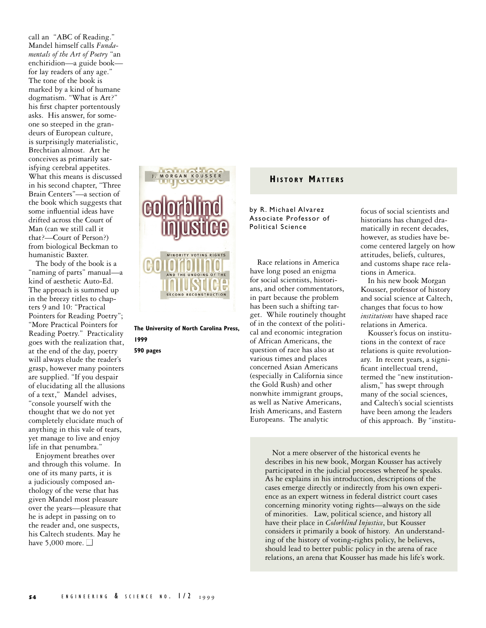call an "ABC of Reading." Mandel himself calls *Fundamentals of the Art of Poetry* "an enchiridion—a guide book for lay readers of any age." The tone of the book is marked by a kind of humane dogmatism. "What is Art?" his first chapter portentously asks. His answer, for someone so steeped in the grandeurs of European culture, is surprisingly materialistic, Brechtian almost. Art he conceives as primarily satisfying cerebral appetites. What this means is discussed in his second chapter, "Three Brain Centers"—a section of the book which suggests that some influential ideas have drifted across the Court of Man (can we still call it that?—Court of Person?) from biological Beckman to humanistic Baxter.

The body of the book is a "naming of parts" manual—a kind of aesthetic Auto-Ed. The approach is summed up in the breezy titles to chapters 9 and 10: "Practical Pointers for Reading Poetry"; "More Practical Pointers for Reading Poetry." Practicality goes with the realization that, at the end of the day, poetry will always elude the reader's grasp, however many pointers are supplied. "If you despair of elucidating all the allusions of a text," Mandel advises, "console yourself with the thought that we do not yet completely elucidate much of anything in this vale of tears, yet manage to live and enjoy life in that penumbra."

Enjoyment breathes over and through this volume. In one of its many parts, it is a judiciously composed anthology of the verse that has given Mandel most pleasure over the years—pleasure that he is adept in passing on to the reader and, one suspects, his Caltech students. May he have 5,000 more.  $\Box$ 



**The University of North Carolina Press, 1999 590 pages**

## **HISTORY MATTERS**

by R. Michael Alvarez Associate Professor of Political Science

Race relations in America have long posed an enigma for social scientists, historians, and other commentators, in part because the problem has been such a shifting target. While routinely thought of in the context of the political and economic integration of African Americans, the question of race has also at various times and places concerned Asian Americans (especially in California since the Gold Rush) and other nonwhite immigrant groups, as well as Native Americans, Irish Americans, and Eastern Europeans. The analytic

focus of social scientists and historians has changed dramatically in recent decades, however, as studies have become centered largely on how attitudes, beliefs, cultures, and customs shape race relations in America.

In his new book Morgan Kousser, professor of history and social science at Caltech, changes that focus to how *institutions* have shaped race relations in America.

Kousser's focus on institutions in the context of race relations is quite revolutionary. In recent years, a significant intellectual trend, termed the "new institutionalism," has swept through many of the social sciences, and Caltech's social scientists have been among the leaders of this approach. By "institu-

Not a mere observer of the historical events he describes in his new book, Morgan Kousser has actively participated in the judicial processes whereof he speaks. As he explains in his introduction, descriptions of the cases emerge directly or indirectly from his own experience as an expert witness in federal district court cases concerning minority voting rights—always on the side of minorities. Law, political science, and history all have their place in *Colorblind Injustice*, but Kousser considers it primarily a book of history. An understanding of the history of voting-rights policy, he believes, should lead to better public policy in the arena of race relations, an arena that Kousser has made his life's work.